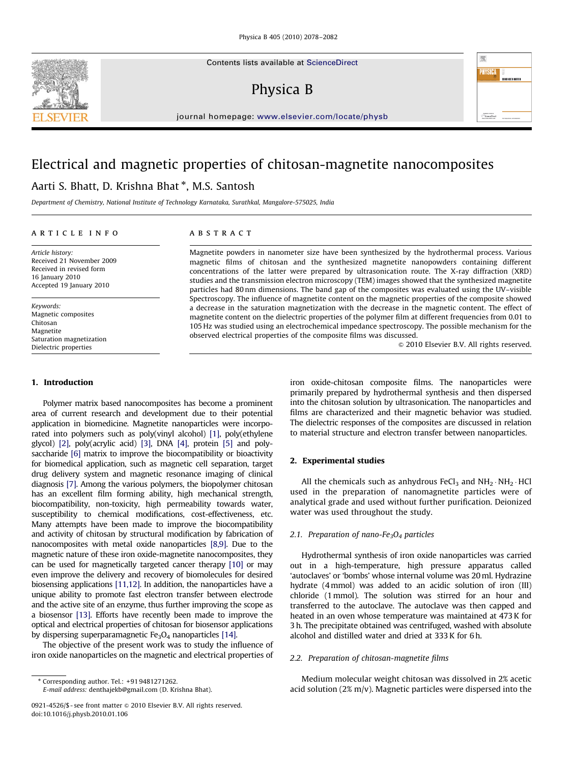Contents lists available at ScienceDirect

# Physica B



journal homepage: <www.elsevier.com/locate/physb>

## Electrical and magnetic properties of chitosan-magnetite nanocomposites

## Aarti S. Bhatt, D. Krishna Bhat <sup>\*</sup>, M.S. Santosh

Department of Chemistry, National Institute of Technology Karnataka, Surathkal, Mangalore-575025, India

#### article info

Article history: Received 21 November 2009 Received in revised form 16 January 2010 Accepted 19 January 2010

Keywords: Magnetic composites Chitosan Magnetite Saturation magnetization Dielectric properties

## 1. Introduction

Polymer matrix based nanocomposites has become a prominent area of current research and development due to their potential application in biomedicine. Magnetite nanoparticles were incorporated into polymers such as poly(vinyl alcohol) [\[1\]](#page-3-0), poly(ethylene glycol) [\[2\]](#page-3-0), poly(acrylic acid) [\[3\],](#page-3-0) DNA [\[4\],](#page-3-0) protein [\[5\]](#page-3-0) and polysaccharide [\[6\]](#page-3-0) matrix to improve the biocompatibility or bioactivity for biomedical application, such as magnetic cell separation, target drug delivery system and magnetic resonance imaging of clinical diagnosis [\[7\]](#page-3-0). Among the various polymers, the biopolymer chitosan has an excellent film forming ability, high mechanical strength, biocompatibility, non-toxicity, high permeability towards water, susceptibility to chemical modifications, cost-effectiveness, etc. Many attempts have been made to improve the biocompatibility and activity of chitosan by structural modification by fabrication of nanocomposites with metal oxide nanoparticles [\[8,9\]](#page-3-0). Due to the magnetic nature of these iron oxide-magnetite nanocomposites, they can be used for magnetically targeted cancer therapy [\[10\]](#page-4-0) or may even improve the delivery and recovery of biomolecules for desired biosensing applications [\[11,12\]](#page-4-0). In addition, the nanoparticles have a unique ability to promote fast electron transfer between electrode and the active site of an enzyme, thus further improving the scope as a biosensor [\[13\].](#page-4-0) Efforts have recently been made to improve the optical and electrical properties of chitosan for biosensor applications by dispersing superparamagnetic  $Fe<sub>3</sub>O<sub>4</sub>$  nanoparticles [\[14\]](#page-4-0).

The objective of the present work was to study the influence of iron oxide nanoparticles on the magnetic and electrical properties of

E-mail address: [denthajekb@gmail.com \(D. Krishna Bhat\)](mailto:denthajekb@gmail.com).

### **ABSTRACT**

Magnetite powders in nanometer size have been synthesized by the hydrothermal process. Various magnetic films of chitosan and the synthesized magnetite nanopowders containing different concentrations of the latter were prepared by ultrasonication route. The X-ray diffraction (XRD) studies and the transmission electron microscopy (TEM) images showed that the synthesized magnetite particles had 80 nm dimensions. The band gap of the composites was evaluated using the UV–visible Spectroscopy. The influence of magnetite content on the magnetic properties of the composite showed a decrease in the saturation magnetization with the decrease in the magnetic content. The effect of magnetite content on the dielectric properties of the polymer film at different frequencies from 0.01 to 105 Hz was studied using an electrochemical impedance spectroscopy. The possible mechanism for the observed electrical properties of the composite films was discussed.

 $© 2010 Elsevier B.V. All rights reserved.$ 

iron oxide-chitosan composite films. The nanoparticles were primarily prepared by hydrothermal synthesis and then dispersed into the chitosan solution by ultrasonication. The nanoparticles and films are characterized and their magnetic behavior was studied. The dielectric responses of the composites are discussed in relation to material structure and electron transfer between nanoparticles.

## 2. Experimental studies

All the chemicals such as anhydrous FeCl<sub>3</sub> and  $NH_2 \cdot NH_2 \cdot HCl$ used in the preparation of nanomagnetite particles were of analytical grade and used without further purification. Deionized water was used throughout the study.

## 2.1. Preparation of nano-Fe<sub>3</sub>O<sub>4</sub> particles

Hydrothermal synthesis of iron oxide nanoparticles was carried out in a high-temperature, high pressure apparatus called 'autoclaves' or 'bombs' whose internal volume was 20ml. Hydrazine hydrate (4mmol) was added to an acidic solution of iron (III) chloride (1mmol). The solution was stirred for an hour and transferred to the autoclave. The autoclave was then capped and heated in an oven whose temperature was maintained at 473 K for 3 h. The precipitate obtained was centrifuged, washed with absolute alcohol and distilled water and dried at 333 K for 6 h.

### 2.2. Preparation of chitosan-magnetite films

Medium molecular weight chitosan was dissolved in 2% acetic acid solution (2% m/v). Magnetic particles were dispersed into the



<sup>-</sup> Corresponding author. Tel.: +91 9481271262.

<sup>0921-4526/\$ -</sup> see front matter @ 2010 Elsevier B.V. All rights reserved. doi:[10.1016/j.physb.2010.01.106](dx.doi.org/10.1016/j.physb.2010.01.106)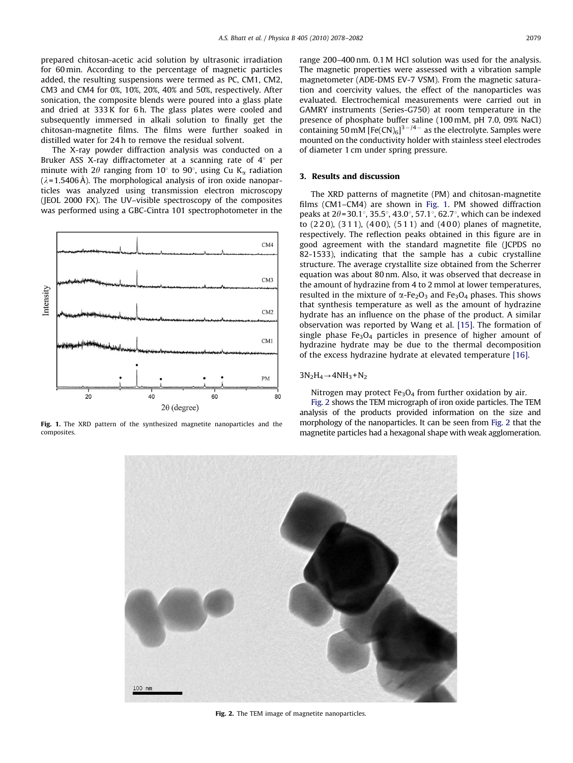prepared chitosan-acetic acid solution by ultrasonic irradiation for 60 min. According to the percentage of magnetic particles added, the resulting suspensions were termed as PC, CM1, CM2, CM3 and CM4 for 0%, 10%, 20%, 40% and 50%, respectively. After sonication, the composite blends were poured into a glass plate and dried at 333 K for 6 h. The glass plates were cooled and subsequently immersed in alkali solution to finally get the chitosan-magnetite films. The films were further soaked in distilled water for 24 h to remove the residual solvent.

The X-ray powder diffraction analysis was conducted on a Bruker ASS X-ray diffractometer at a scanning rate of  $4^\circ$  per minute with 2 $\theta$  ranging from 10 $\degree$  to 90 $\degree$ , using Cu K<sub> $\alpha$ </sub> radiation  $(\lambda = 1.5406 \text{ Å})$ . The morphological analysis of iron oxide nanoparticles was analyzed using transmission electron microscopy (JEOL 2000 FX). The UV–visible spectroscopy of the composites was performed using a GBC-Cintra 101 spectrophotometer in the



Fig. 1. The XRD pattern of the synthesized magnetite nanoparticles and the composites.

range 200–400 nm. 0.1M HCl solution was used for the analysis. The magnetic properties were assessed with a vibration sample magnetometer (ADE-DMS EV-7 VSM). From the magnetic saturation and coercivity values, the effect of the nanoparticles was evaluated. Electrochemical measurements were carried out in GAMRY instruments (Series-G750) at room temperature in the presence of phosphate buffer saline (100 mM, pH 7.0, 09% NaCl) containing 50 mM  $[Fe(CN)_6]^{3-/4-}$  as the electrolyte. Samples were mounted on the conductivity holder with stainless steel electrodes of diameter 1 cm under spring pressure.

### 3. Results and discussion

The XRD patterns of magnetite (PM) and chitosan-magnetite films (CM1–CM4) are shown in Fig. 1. PM showed diffraction peaks at  $2\theta$ =30.1°, 35.5°, 43.0°, 57.1°, 62.7°, which can be indexed to  $(220)$ ,  $(311)$ ,  $(400)$ ,  $(511)$  and  $(400)$  planes of magnetite, respectively. The reflection peaks obtained in this figure are in good agreement with the standard magnetite file (JCPDS no 82-1533), indicating that the sample has a cubic crystalline structure. The average crystallite size obtained from the Scherrer equation was about 80 nm. Also, it was observed that decrease in the amount of hydrazine from 4 to 2 mmol at lower temperatures, resulted in the mixture of  $\alpha$ -Fe<sub>2</sub>O<sub>3</sub> and Fe<sub>3</sub>O<sub>4</sub> phases. This shows that synthesis temperature as well as the amount of hydrazine hydrate has an influence on the phase of the product. A similar observation was reported by Wang et al. [\[15\]](#page-4-0). The formation of single phase  $Fe<sub>3</sub>O<sub>4</sub>$  particles in presence of higher amount of hydrazine hydrate may be due to the thermal decomposition of the excess hydrazine hydrate at elevated temperature [\[16\].](#page-4-0)

#### $3N_2H_4 \rightarrow 4NH_3 + N_2$

Nitrogen may protect  $Fe<sub>3</sub>O<sub>4</sub>$  from further oxidation by air.

Fig. 2 shows the TEM micrograph of iron oxide particles. The TEM analysis of the products provided information on the size and morphology of the nanoparticles. It can be seen from Fig. 2 that the magnetite particles had a hexagonal shape with weak agglomeration.



Fig. 2. The TEM image of magnetite nanoparticles.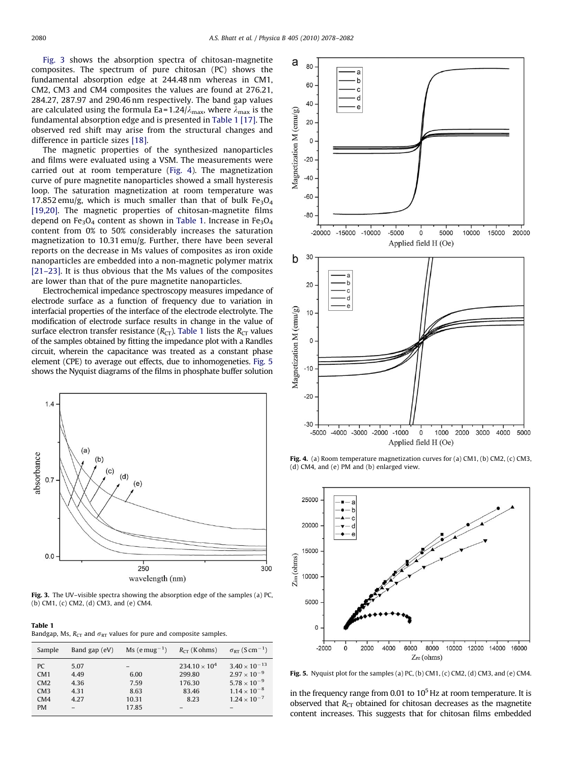<span id="page-2-0"></span>Fig. 3 shows the absorption spectra of chitosan-magnetite composites. The spectrum of pure chitosan (PC) shows the fundamental absorption edge at 244.48 nm whereas in CM1, CM2, CM3 and CM4 composites the values are found at 276.21, 284.27, 287.97 and 290.46 nm respectively. The band gap values are calculated using the formula Ea=1.24/ $\lambda_{\text{max}}$ , where  $\lambda_{\text{max}}$  is the fundamental absorption edge and is presented in Table 1 [\[17\].](#page-4-0) The observed red shift may arise from the structural changes and difference in particle sizes [\[18\].](#page-4-0)

The magnetic properties of the synthesized nanoparticles and films were evaluated using a VSM. The measurements were carried out at room temperature (Fig. 4). The magnetization curve of pure magnetite nanoparticles showed a small hysteresis loop. The saturation magnetization at room temperature was 17.852 emu/g, which is much smaller than that of bulk  $Fe<sub>3</sub>O<sub>4</sub>$ [\[19,20\].](#page-4-0) The magnetic properties of chitosan-magnetite films depend on Fe<sub>3</sub>O<sub>4</sub> content as shown in Table 1. Increase in Fe<sub>3</sub>O<sub>4</sub> content from 0% to 50% considerably increases the saturation magnetization to 10.31 emu/g. Further, there have been several reports on the decrease in Ms values of composites as iron oxide nanoparticles are embedded into a non-magnetic polymer matrix [\[21–23\].](#page-4-0) It is thus obvious that the Ms values of the composites are lower than that of the pure magnetite nanoparticles.

Electrochemical impedance spectroscopy measures impedance of electrode surface as a function of frequency due to variation in interfacial properties of the interface of the electrode electrolyte. The modification of electrode surface results in change in the value of surface electron transfer resistance  $(R_{CT})$ . Table 1 lists the  $R_{CT}$  values of the samples obtained by fitting the impedance plot with a Randles circuit, wherein the capacitance was treated as a constant phase element (CPE) to average out effects, due to inhomogeneties. Fig. 5 shows the Nyquist diagrams of the films in phosphate buffer solution



Fig. 3. The UV–visible spectra showing the absorption edge of the samples (a) PC, (b) CM1, (c) CM2, (d) CM3, and (e) CM4.

Table 1

Bandgap, Ms,  $R_{CT}$  and  $\sigma_{RT}$  values for pure and composite samples.

| Sample     | Band gap (eV) | $Ms$ (e mug <sup>-1</sup> ) | $R_{CT}$ (K ohms)                | $\sigma_{RT}$ (S cm <sup>-1</sup> )             |
|------------|---------------|-----------------------------|----------------------------------|-------------------------------------------------|
| PC.<br>CM1 | 5.07<br>4.49  | 6.00                        | $234.10 \times 10^{4}$<br>299.80 | $3.40 \times 10^{-13}$<br>$2.97 \times 10^{-9}$ |
| CM2        | 4.36          | 7.59                        | 176.30                           | $5.78 \times 10^{-9}$                           |
| CM3<br>CM4 | 4.31<br>4.27  | 8.63<br>10.31               | 83.46<br>8.23                    | $1.14 \times 10^{-8}$<br>$1.24 \times 10^{-7}$  |
| <b>PM</b>  |               | 17.85                       |                                  |                                                 |



Fig. 4. (a) Room temperature magnetization curves for (a) CM1, (b) CM2, (c) CM3, (d) CM4, and (e) PM and (b) enlarged view.



Fig. 5. Nyquist plot for the samples (a) PC, (b) CM1, (c) CM2, (d) CM3, and (e) CM4.

in the frequency range from 0.01 to  $10<sup>5</sup>$  Hz at room temperature. It is observed that  $R<sub>CT</sub>$  obtained for chitosan decreases as the magnetite content increases. This suggests that for chitosan films embedded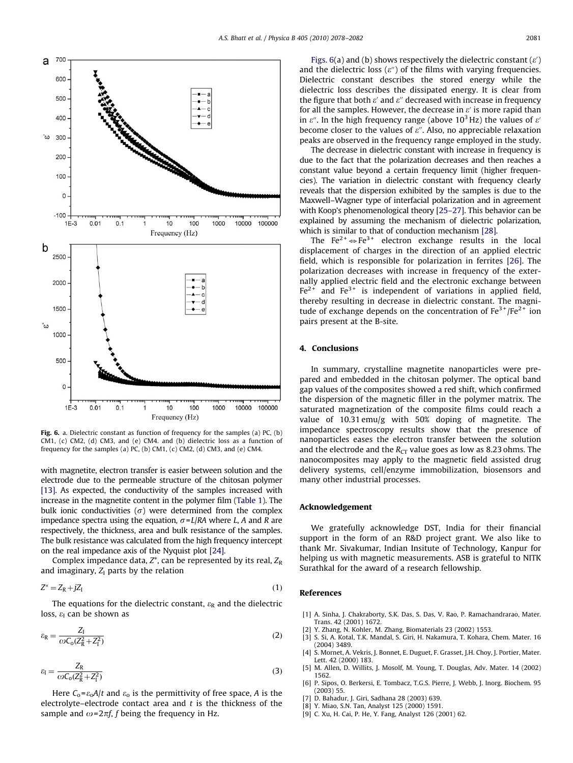<span id="page-3-0"></span>

Fig. 6. a. Dielectric constant as function of frequency for the samples (a) PC, (b) CM1, (c) CM2, (d) CM3, and (e) CM4. and (b) dielectric loss as a function of frequency for the samples (a) PC, (b) CM1, (c) CM2, (d) CM3, and (e) CM4.

with magnetite, electron transfer is easier between solution and the electrode due to the permeable structure of the chitosan polymer [\[13\]](#page-4-0). As expected, the conductivity of the samples increased with increase in the magnetite content in the polymer film [\(Table 1\)](#page-2-0). The bulk ionic conductivities ( $\sigma$ ) were determined from the complex impedance spectra using the equation,  $\sigma = L/RA$  where L, A and R are respectively, the thickness, area and bulk resistance of the samples. The bulk resistance was calculated from the high frequency intercept on the real impedance axis of the Nyquist plot [\[24\].](#page-4-0)

Complex impedance data,  $Z^*$ , can be represented by its real,  $Z_R$ and imaginary,  $Z_I$  parts by the relation

$$
Z^* = Z_R + jZ_I \tag{1}
$$

The equations for the dielectric constant,  $\varepsilon_R$  and the dielectric loss,  $\varepsilon_{\rm I}$  can be shown as

$$
\varepsilon_{\rm R} = \frac{Z_{\rm I}}{\omega C_{\rm o}(Z_{\rm R}^2 + Z_{\rm I}^2)}\tag{2}
$$

$$
\varepsilon_{\rm l} = \frac{Z_{\rm R}}{\omega C_{\rm o}(Z_{\rm R}^2 + Z_{\rm l}^2)}\tag{3}
$$

Here  $C_0 = \varepsilon_0 A/t$  and  $\varepsilon_0$  is the permittivity of free space, A is the electrolyte–electrode contact area and  $t$  is the thickness of the sample and  $\omega = 2\pi f$ , f being the frequency in Hz.

Figs. 6(a) and (b) shows respectively the dielectric constant  $(\varepsilon')$ and the dielectric loss  $(e'')$  of the films with varying frequencies. Dielectric constant describes the stored energy while the dielectric loss describes the dissipated energy. It is clear from the figure that both  $\varepsilon'$  and  $\varepsilon''$  decreased with increase in frequency for all the samples. However, the decrease in  $\varepsilon'$  is more rapid than in  $\varepsilon$ ". In the high frequency range (above 10<sup>3</sup> Hz) the values of  $\varepsilon$ <sup>'</sup> become closer to the values of  $\varepsilon$ ". Also, no appreciable relaxation peaks are observed in the frequency range employed in the study.

The decrease in dielectric constant with increase in frequency is due to the fact that the polarization decreases and then reaches a constant value beyond a certain frequency limit (higher frequencies). The variation in dielectric constant with frequency clearly reveals that the dispersion exhibited by the samples is due to the Maxwell–Wagner type of interfacial polarization and in agreement with Koop's phenomenological theory [\[25–27\].](#page-4-0) This behavior can be explained by assuming the mechanism of dielectric polarization, which is similar to that of conduction mechanism [\[28\].](#page-4-0)

The Fe<sup>2+</sup>  $\Leftrightarrow$  Fe<sup>3+</sup> electron exchange results in the local displacement of charges in the direction of an applied electric field, which is responsible for polarization in ferrites [\[26\].](#page-4-0) The polarization decreases with increase in frequency of the externally applied electric field and the electronic exchange between  $Fe<sup>2+</sup>$  and  $Fe<sup>3+</sup>$  is independent of variations in applied field, thereby resulting in decrease in dielectric constant. The magnitude of exchange depends on the concentration of  $Fe^{3+}/Fe^{2+}$  ion pairs present at the B-site.

### 4. Conclusions

In summary, crystalline magnetite nanoparticles were prepared and embedded in the chitosan polymer. The optical band gap values of the composites showed a red shift, which confirmed the dispersion of the magnetic filler in the polymer matrix. The saturated magnetization of the composite films could reach a value of 10.31 emu/g with 50% doping of magnetite. The impedance spectroscopy results show that the presence of nanoparticles eases the electron transfer between the solution and the electrode and the  $R_{CT}$  value goes as low as 8.23 ohms. The nanocomposites may apply to the magnetic field assisted drug delivery systems, cell/enzyme immobilization, biosensors and many other industrial processes.

## Acknowledgement

We gratefully acknowledge DST, India for their financial support in the form of an R&D project grant. We also like to thank Mr. Sivakumar, Indian Insitute of Technology, Kanpur for helping us with magnetic measurements. ASB is grateful to NITK Surathkal for the award of a research fellowship.

#### References

- [1] A. Sinha, J. Chakraborty, S.K. Das, S. Das, V. Rao, P. Ramachandrarao, Mater. Trans. 42 (2001) 1672.
- Y. Zhang, N. Kohler, M. Zhang, Biomaterials 23 (2002) 1553.
- [3] S. Si, A. Kotal, T.K. Mandal, S. Giri, H. Nakamura, T. Kohara, Chem. Mater. 16 (2004) 3489.
- [4] S. Mornet, A. Vekris, J. Bonnet, E. Duguet, F. Grasset, J.H. Choy, J. Portier, Mater. Lett. 42 (2000) 183.
- [5] M. Allen, D. Willits, J. Mosolf, M. Young, T. Douglas, Adv. Mater. 14 (2002) 1562.
- [6] P. Sipos, O. Berkersi, E. Tombacz, T.G.S. Pierre, J. Webb, J. Inorg. Biochem. 95 (2003) 55.
- [7] D. Bahadur, J. Giri, Sadhana 28 (2003) 639.
- [8] Y. Miao, S.N. Tan, Analyst 125 (2000) 1591.
- [9] C. Xu, H. Cai, P. He, Y. Fang, Analyst 126 (2001) 62.